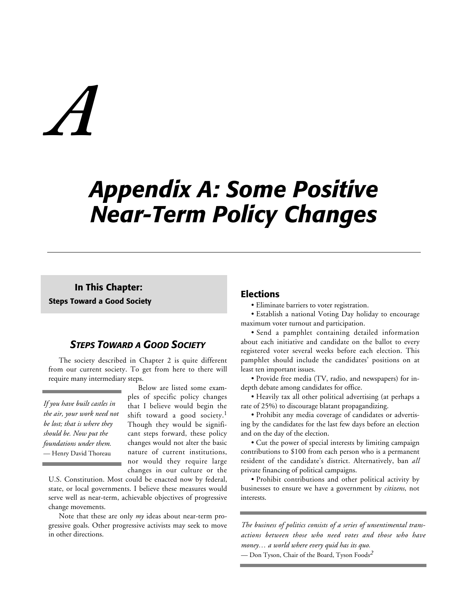# *A*

# *Appendix A: Some Positive Near-Term Policy Changes*

**In This Chapter: Steps Toward a Good Society**

# *STEPS TOWARD A GOOD SOCIETY*

The society described in Chapter 2 is quite different from our current society. To get from here to there will require many intermediary steps.

*If you have built castles in the air, your work need not be lost; that is where they should be. Now put the foundations under them.* — Henry David Thoreau

Below are listed some examples of specific policy changes that I believe would begin the shift toward a good society.<sup>1</sup> Though they would be significant steps forward, these policy changes would not alter the basic nature of current institutions, nor would they require large changes in our culture or the

U.S. Constitution. Most could be enacted now by federal, state, or local governments. I believe these measures would serve well as near-term, achievable objectives of progressive change movements.

Note that these are only *my* ideas about near-term progressive goals. Other progressive activists may seek to move in other directions.

# **Elections**

• Eliminate barriers to voter registration.

• Establish a national Voting Day holiday to encourage maximum voter turnout and participation.

• Send a pamphlet containing detailed information about each initiative and candidate on the ballot to every registered voter several weeks before each election. This pamphlet should include the candidates' positions on at least ten important issues.

• Provide free media (TV, radio, and newspapers) for indepth debate among candidates for office.

• Heavily tax all other political advertising (at perhaps a rate of 25%) to discourage blatant propagandizing.

• Prohibit any media coverage of candidates or advertising by the candidates for the last few days before an election and on the day of the election.

• Cut the power of special interests by limiting campaign contributions to \$100 from each person who is a permanent resident of the candidate's district. Alternatively, ban *all* private financing of political campaigns.

• Prohibit contributions and other political activity by businesses to ensure we have a government by *citizens*, not interests.

*The business of politics consists of a series of unsentimental transactions between those who need votes and those who have money… a world where every quid has its quo.*

— Don Tyson, Chair of the Board, Tyson Foods*2*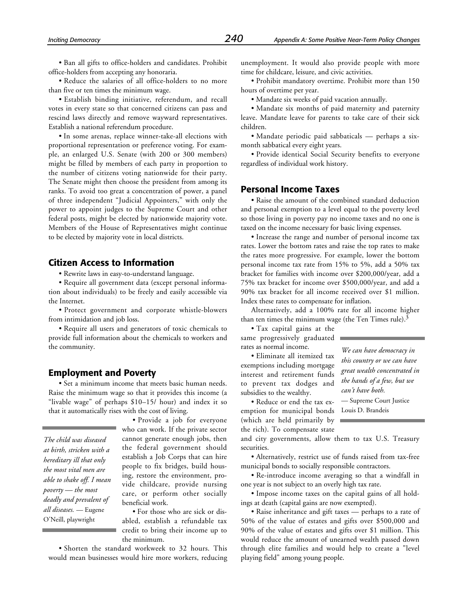• Ban all gifts to office-holders and candidates. Prohibit office-holders from accepting any honoraria.

• Reduce the salaries of all office-holders to no more than five or ten times the minimum wage.

• Establish binding initiative, referendum, and recall votes in every state so that concerned citizens can pass and rescind laws directly and remove wayward representatives. Establish a national referendum procedure.

• In some arenas, replace winner-take-all elections with proportional representation or preference voting. For example, an enlarged U.S. Senate (with 200 or 300 members) might be filled by members of each party in proportion to the number of citizens voting nationwide for their party. The Senate might then choose the president from among its ranks. To avoid too great a concentration of power, a panel of three independent "Judicial Appointers," with only the power to appoint judges to the Supreme Court and other federal posts, might be elected by nationwide majority vote. Members of the House of Representatives might continue to be elected by majority vote in local districts.

# **Citizen Access to Information**

• Rewrite laws in easy-to-understand language.

• Require all government data (except personal information about individuals) to be freely and easily accessible via the Internet.

• Protect government and corporate whistle-blowers from intimidation and job loss.

• Require all users and generators of toxic chemicals to provide full information about the chemicals to workers and the community.

# **Employment and Poverty**

• Set a minimum income that meets basic human needs. Raise the minimum wage so that it provides this income (a "livable wage" of perhaps \$10–15/ hour) and index it so that it automatically rises with the cost of living.

*The child was diseased at birth, stricken with a hereditary ill that only the most vital men are able to shake off. I mean poverty — the most deadly and prevalent of all diseases.* — Eugene O'Neill, playwright

• Provide a job for everyone who can work. If the private sector cannot generate enough jobs, then the federal government should establish a Job Corps that can hire people to fix bridges, build housing, restore the environment, provide childcare, provide nursing care, or perform other socially beneficial work.

• For those who are sick or disabled, establish a refundable tax credit to bring their income up to the minimum.

• Shorten the standard workweek to 32 hours. This would mean businesses would hire more workers, reducing

unemployment. It would also provide people with more time for childcare, leisure, and civic activities.

• Prohibit mandatory overtime. Prohibit more than 150 hours of overtime per year.

• Mandate six weeks of paid vacation annually.

• Mandate six months of paid maternity and paternity leave. Mandate leave for parents to take care of their sick children.

• Mandate periodic paid sabbaticals — perhaps a sixmonth sabbatical every eight years.

• Provide identical Social Security benefits to everyone regardless of individual work history.

# **Personal Income Taxes**

• Raise the amount of the combined standard deduction and personal exemption to a level equal to the poverty level so those living in poverty pay no income taxes and no one is taxed on the income necessary for basic living expenses.

• Increase the range and number of personal income tax rates. Lower the bottom rates and raise the top rates to make the rates more progressive. For example, lower the bottom personal income tax rate from 15% to 5%, add a 50% tax bracket for families with income over \$200,000/year, add a 75% tax bracket for income over \$500,000/year, and add a 90% tax bracket for all income received over \$1 million. Index these rates to compensate for inflation.

Alternatively, add a 100% rate for all income higher than ten times the minimum wage (the Ten Times rule).<sup>3</sup>

• Tax capital gains at the same progressively graduated rates as normal income.

• Eliminate all itemized tax exemptions including mortgage interest and retirement funds to prevent tax dodges and subsidies to the wealthy.

• Reduce or end the tax exemption for municipal bonds (which are held primarily by the rich). To compensate state

*We can have democracy in this country or we can have great wealth concentrated in the hands of a few, but we can't have both.*

— Supreme Court Justice Louis D. Brandeis

and city governments, allow them to tax U.S. Treasury securities.

• Alternatively, restrict use of funds raised from tax-free municipal bonds to socially responsible contractors.

• Re-introduce income averaging so that a windfall in one year is not subject to an overly high tax rate.

• Impose income taxes on the capital gains of all holdings at death (capital gains are now exempted).

• Raise inheritance and gift taxes — perhaps to a rate of 50% of the value of estates and gifts over \$500,000 and 90% of the value of estates and gifts over \$1 million. This would reduce the amount of unearned wealth passed down through elite families and would help to create a "level playing field" among young people.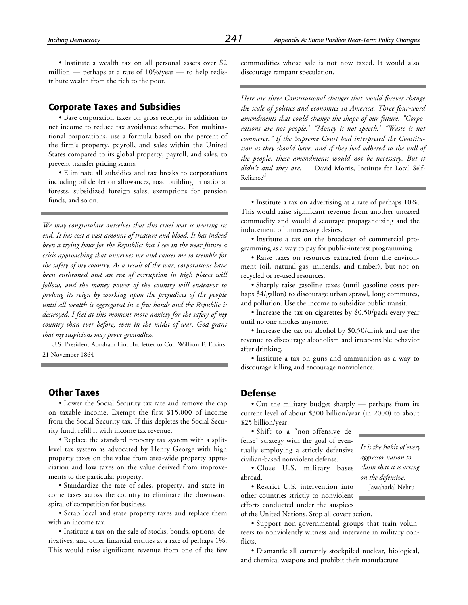• Institute a wealth tax on all personal assets over \$2 million — perhaps at a rate of 10%/year — to help redistribute wealth from the rich to the poor.

# **Corporate Taxes and Subsidies**

• Base corporation taxes on gross receipts in addition to net income to reduce tax avoidance schemes. For multinational corporations, use a formula based on the percent of the firm's property, payroll, and sales within the United States compared to its global property, payroll, and sales, to prevent transfer pricing scams.

• Eliminate all subsidies and tax breaks to corporations including oil depletion allowances, road building in national forests, subsidized foreign sales, exemptions for pension funds, and so on.

*We may congratulate ourselves that this cruel war is nearing its end. It has cost a vast amount of treasure and blood. It has indeed been a trying hour for the Republic; but I see in the near future a crisis approaching that unnerves me and causes me to tremble for the safety of my country. As a result of the war, corporations have been enthroned and an era of corruption in high places will follow, and the money power of the country will endeavor to prolong its reign by working upon the prejudices of the people until all wealth is aggregated in a few hands and the Republic is destroyed. I feel at this moment more anxiety for the safety of my country than ever before, even in the midst of war. God grant that my suspicions may prove groundless.*

— U.S. President Abraham Lincoln, letter to Col. William F. Elkins, 21 November 1864

# **Other Taxes**

• Lower the Social Security tax rate and remove the cap on taxable income. Exempt the first \$15,000 of income from the Social Security tax. If this depletes the Social Security fund, refill it with income tax revenue.

• Replace the standard property tax system with a splitlevel tax system as advocated by Henry George with high property taxes on the value from area-wide property appreciation and low taxes on the value derived from improvements to the particular property.

• Standardize the rate of sales, property, and state income taxes across the country to eliminate the downward spiral of competition for business.

• Scrap local and state property taxes and replace them with an income tax.

• Institute a tax on the sale of stocks, bonds, options, derivatives, and other financial entities at a rate of perhaps 1%. This would raise significant revenue from one of the few commodities whose sale is not now taxed. It would also discourage rampant speculation.

*Here are three Constitutional changes that would forever change the scale of politics and economics in America. Three four-word amendments that could change the shape of our future. "Corporations are not people." "Money is not speech." "Waste is not commerce." If the Supreme Court had interpreted the Constitution as they should have, and if they had adhered to the will of the people, these amendments would not be necessary. But it didn't and they are.* — David Morris, Institute for Local Self-Reliance*4*

• Institute a tax on advertising at a rate of perhaps 10%. This would raise significant revenue from another untaxed commodity and would discourage propagandizing and the inducement of unnecessary desires.

• Institute a tax on the broadcast of commercial programming as a way to pay for public-interest programming.

• Raise taxes on resources extracted from the environment (oil, natural gas, minerals, and timber), but not on recycled or re-used resources.

• Sharply raise gasoline taxes (until gasoline costs perhaps \$4/gallon) to discourage urban sprawl, long commutes, and pollution. Use the income to subsidize public transit.

• Increase the tax on cigarettes by \$0.50/pack every year until no one smokes anymore.

• Increase the tax on alcohol by \$0.50/drink and use the revenue to discourage alcoholism and irresponsible behavior after drinking.

• Institute a tax on guns and ammunition as a way to discourage killing and encourage nonviolence.

# **Defense**

• Cut the military budget sharply — perhaps from its current level of about \$300 billion/year (in 2000) to about \$25 billion/year.

• Shift to a "non-offensive defense" strategy with the goal of eventually employing a strictly defensive civilian-based nonviolent defense.

• Close U.S. military bases abroad.

*It is the habit of every aggressor nation to claim that it is acting on the defensive.* — Jawaharlal Nehru

• Restrict U.S. intervention into other countries strictly to nonviolent efforts conducted under the auspices of the United Nations. Stop all covert action.

• Support non-governmental groups that train volunteers to nonviolently witness and intervene in military conflicts.

• Dismantle all currently stockpiled nuclear, biological, and chemical weapons and prohibit their manufacture.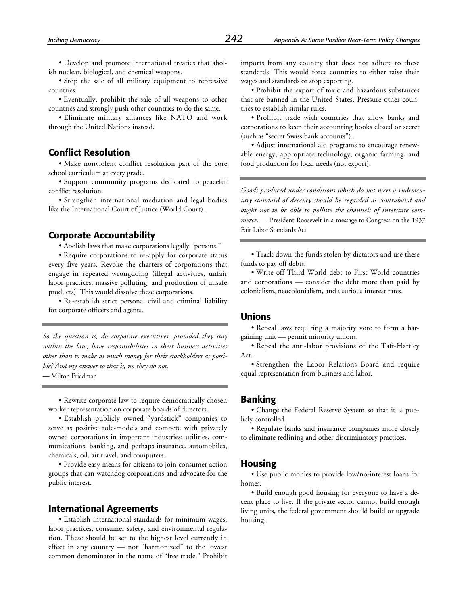• Develop and promote international treaties that abolish nuclear, biological, and chemical weapons.

• Stop the sale of all military equipment to repressive countries.

• Eventually, prohibit the sale of all weapons to other countries and strongly push other countries to do the same.

• Eliminate military alliances like NATO and work through the United Nations instead.

# **Conflict Resolution**

• Make nonviolent conflict resolution part of the core school curriculum at every grade.

• Support community programs dedicated to peaceful conflict resolution.

• Strengthen international mediation and legal bodies like the International Court of Justice (World Court).

#### **Corporate Accountability**

• Abolish laws that make corporations legally "persons."

• Require corporations to re-apply for corporate status every five years. Revoke the charters of corporations that engage in repeated wrongdoing (illegal activities, unfair labor practices, massive polluting, and production of unsafe products). This would dissolve these corporations.

• Re-establish strict personal civil and criminal liability for corporate officers and agents.

*So the question is, do corporate executives, provided they stay within the law, have responsibilities in their business activities other than to make as much money for their stockholders as possible? And my answer to that is, no they do not.* — Milton Friedman

• Rewrite corporate law to require democratically chosen worker representation on corporate boards of directors.

• Establish publicly owned "yardstick" companies to serve as positive role-models and compete with privately owned corporations in important industries: utilities, communications, banking, and perhaps insurance, automobiles, chemicals, oil, air travel, and computers.

• Provide easy means for citizens to join consumer action groups that can watchdog corporations and advocate for the public interest.

# **International Agreements**

• Establish international standards for minimum wages, labor practices, consumer safety, and environmental regulation. These should be set to the highest level currently in effect in any country — not "harmonized" to the lowest common denominator in the name of "free trade." Prohibit imports from any country that does not adhere to these standards. This would force countries to either raise their wages and standards or stop exporting.

• Prohibit the export of toxic and hazardous substances that are banned in the United States. Pressure other countries to establish similar rules.

• Prohibit trade with countries that allow banks and corporations to keep their accounting books closed or secret (such as "secret Swiss bank accounts").

• Adjust international aid programs to encourage renewable energy, appropriate technology, organic farming, and food production for local needs (not export).

*Goods produced under conditions which do not meet a rudimentary standard of decency should be regarded as contraband and ought not to be able to pollute the channels of interstate commerce.* — President Roosevelt in a message to Congress on the 1937 Fair Labor Standards Act

• Track down the funds stolen by dictators and use these funds to pay off debts.

• Write off Third World debt to First World countries and corporations — consider the debt more than paid by colonialism, neocolonialism, and usurious interest rates.

# **Unions**

• Repeal laws requiring a majority vote to form a bargaining unit — permit minority unions.

• Repeal the anti-labor provisions of the Taft-Hartley Act.

• Strengthen the Labor Relations Board and require equal representation from business and labor.

#### **Banking**

• Change the Federal Reserve System so that it is publicly controlled.

• Regulate banks and insurance companies more closely to eliminate redlining and other discriminatory practices.

#### **Housing**

• Use public monies to provide low/no-interest loans for homes.

• Build enough good housing for everyone to have a decent place to live. If the private sector cannot build enough living units, the federal government should build or upgrade housing.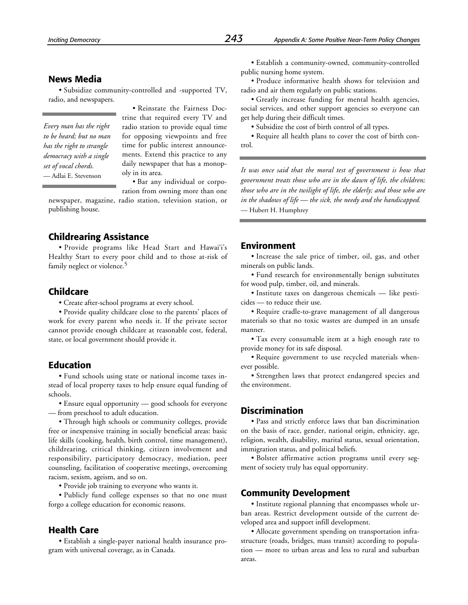# **News Media**

• Subsidize community-controlled and -supported TV, radio, and newspapers.

*Every man has the right to be heard; but no man has the right to strangle democracy with a single set of vocal chords.*

• Reinstate the Fairness Doctrine that required every TV and radio station to provide equal time for opposing viewpoints and free time for public interest announcements. Extend this practice to any daily newspaper that has a monopoly in its area.

• Bar any individual or corporation from owning more than one

newspaper, magazine, radio station, television station, or publishing house.

# **Childrearing Assistance**

• Provide programs like Head Start and Hawai'i's Healthy Start to every poor child and to those at-risk of family neglect or violence.<sup>5</sup>

# **Childcare**

• Create after-school programs at every school.

• Provide quality childcare close to the parents' places of work for every parent who needs it. If the private sector cannot provide enough childcare at reasonable cost, federal, state, or local government should provide it.

# **Education**

• Fund schools using state or national income taxes instead of local property taxes to help ensure equal funding of schools.

• Ensure equal opportunity — good schools for everyone — from preschool to adult education.

• Through high schools or community colleges, provide free or inexpensive training in socially beneficial areas: basic life skills (cooking, health, birth control, time management), childrearing, critical thinking, citizen involvement and responsibility, participatory democracy, mediation, peer counseling, facilitation of cooperative meetings, overcoming racism, sexism, ageism, and so on.

• Provide job training to everyone who wants it.

• Publicly fund college expenses so that no one must forgo a college education for economic reasons.

#### **Health Care**

• Establish a single-payer national health insurance program with universal coverage, as in Canada.

• Establish a community-owned, community-controlled public nursing home system.

• Produce informative health shows for television and radio and air them regularly on public stations.

• Greatly increase funding for mental health agencies, social services, and other support agencies so everyone can get help during their difficult times.

• Subsidize the cost of birth control of all types.

• Require all health plans to cover the cost of birth control.

— Adlai E. Stevenson *It was once said that the moral test of government is how that government treats those who are in the dawn of life, the children; those who are in the twilight of life, the elderly; and those who are in the shadows of life — the sick, the needy and the handicapped.* — Hubert H. Humphrey

#### **Environment**

• Increase the sale price of timber, oil, gas, and other minerals on public lands.

• Fund research for environmentally benign substitutes for wood pulp, timber, oil, and minerals.

• Institute taxes on dangerous chemicals — like pesticides — to reduce their use.

• Require cradle-to-grave management of all dangerous materials so that no toxic wastes are dumped in an unsafe manner.

• Tax every consumable item at a high enough rate to provide money for its safe disposal.

• Require government to use recycled materials whenever possible.

• Strengthen laws that protect endangered species and the environment.

# **Discrimination**

• Pass and strictly enforce laws that ban discrimination on the basis of race, gender, national origin, ethnicity, age, religion, wealth, disability, marital status, sexual orientation, immigration status, and political beliefs.

• Bolster affirmative action programs until every segment of society truly has equal opportunity.

#### **Community Development**

• Institute regional planning that encompasses whole urban areas. Restrict development outside of the current developed area and support infill development.

• Allocate government spending on transportation infrastructure (roads, bridges, mass transit) according to population — more to urban areas and less to rural and suburban areas.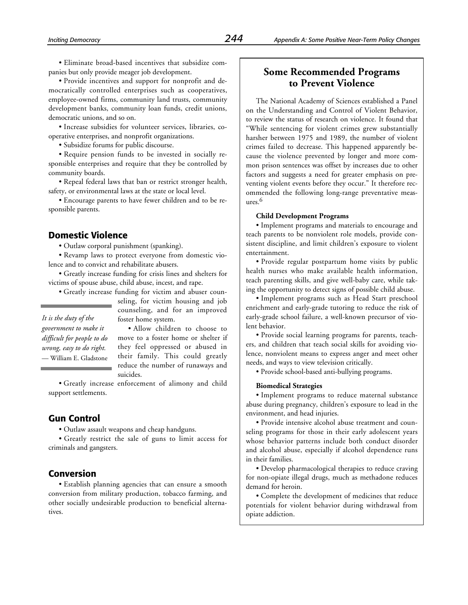• Eliminate broad-based incentives that subsidize companies but only provide meager job development.

• Provide incentives and support for nonprofit and democratically controlled enterprises such as cooperatives, employee-owned firms, community land trusts, community development banks, community loan funds, credit unions, democratic unions, and so on.

• Increase subsidies for volunteer services, libraries, cooperative enterprises, and nonprofit organizations.

• Subsidize forums for public discourse.

• Require pension funds to be invested in socially responsible enterprises and require that they be controlled by community boards.

• Repeal federal laws that ban or restrict stronger health, safety, or environmental laws at the state or local level.

• Encourage parents to have fewer children and to be responsible parents.

# **Domestic Violence**

• Outlaw corporal punishment (spanking).

• Revamp laws to protect everyone from domestic violence and to convict and rehabilitate abusers.

• Greatly increase funding for crisis lines and shelters for victims of spouse abuse, child abuse, incest, and rape.

• Greatly increase funding for victim and abuser coun-

seling, for victim housing and job counseling, and for an improved foster home system.

*It is the duty of the government to make it difficult for people to do wrong, easy to do right.* — William E. Gladstone

• Allow children to choose to move to a foster home or shelter if they feel oppressed or abused in their family. This could greatly reduce the number of runaways and suicides.

• Greatly increase enforcement of alimony and child support settlements.

# **Gun Control**

• Outlaw assault weapons and cheap handguns.

• Greatly restrict the sale of guns to limit access for criminals and gangsters.

#### **Conversion**

• Establish planning agencies that can ensure a smooth conversion from military production, tobacco farming, and other socially undesirable production to beneficial alternatives.

# **Some Recommended Programs to Prevent Violence**

The National Academy of Sciences established a Panel on the Understanding and Control of Violent Behavior, to review the status of research on violence. It found that "While sentencing for violent crimes grew substantially harsher between 1975 and 1989, the number of violent crimes failed to decrease. This happened apparently because the violence prevented by longer and more common prison sentences was offset by increases due to other factors and suggests a need for greater emphasis on preventing violent events before they occur." It therefore recommended the following long-range preventative measures.6

#### **Child Development Programs**

• Implement programs and materials to encourage and teach parents to be nonviolent role models, provide consistent discipline, and limit children's exposure to violent entertainment.

• Provide regular postpartum home visits by public health nurses who make available health information, teach parenting skills, and give well-baby care, while taking the opportunity to detect signs of possible child abuse.

• Implement programs such as Head Start preschool enrichment and early-grade tutoring to reduce the risk of early-grade school failure, a well-known precursor of violent behavior.

• Provide social learning programs for parents, teachers, and children that teach social skills for avoiding violence, nonviolent means to express anger and meet other needs, and ways to view television critically.

• Provide school-based anti-bullying programs.

#### **Biomedical Strategies**

• Implement programs to reduce maternal substance abuse during pregnancy, children's exposure to lead in the environment, and head injuries.

• Provide intensive alcohol abuse treatment and counseling programs for those in their early adolescent years whose behavior patterns include both conduct disorder and alcohol abuse, especially if alcohol dependence runs in their families.

• Develop pharmacological therapies to reduce craving for non-opiate illegal drugs, much as methadone reduces demand for heroin.

• Complete the development of medicines that reduce potentials for violent behavior during withdrawal from opiate addiction.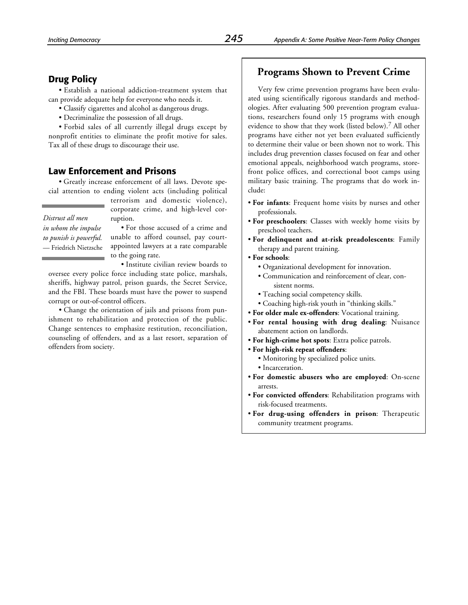# **Drug Policy**

• Establish a national addiction-treatment system that can provide adequate help for everyone who needs it.

• Classify cigarettes and alcohol as dangerous drugs.

• Decriminalize the possession of all drugs.

• Forbid sales of all currently illegal drugs except by nonprofit entities to eliminate the profit motive for sales. Tax all of these drugs to discourage their use.

# **Law Enforcement and Prisons**

• Greatly increase enforcement of all laws. Devote special attention to ending violent acts (including political

*Distrust all men in whom the impulse to punish is powerful.* — Friedrich Nietzsche corporate crime, and high-level corruption. • For those accused of a crime and

terrorism and domestic violence),

unable to afford counsel, pay courtappointed lawyers at a rate comparable to the going rate.

• Institute civilian review boards to oversee every police force including state police, marshals, sheriffs, highway patrol, prison guards, the Secret Service, and the FBI. These boards must have the power to suspend corrupt or out-of-control officers.

• Change the orientation of jails and prisons from punishment to rehabilitation and protection of the public. Change sentences to emphasize restitution, reconciliation, counseling of offenders, and as a last resort, separation of offenders from society.

# **Programs Shown to Prevent Crime**

Very few crime prevention programs have been evaluated using scientifically rigorous standards and methodologies. After evaluating 500 prevention program evaluations, researchers found only 15 programs with enough evidence to show that they work (listed below).7 All other programs have either not yet been evaluated sufficiently to determine their value or been shown not to work. This includes drug prevention classes focused on fear and other emotional appeals, neighborhood watch programs, storefront police offices, and correctional boot camps using military basic training. The programs that do work include:

- **For infants**: Frequent home visits by nurses and other professionals.
- **For preschoolers**: Classes with weekly home visits by preschool teachers.
- **For delinquent and at-risk preadolescents**: Family therapy and parent training.
- **For schools**:
	- Organizational development for innovation.
	- Communication and reinforcement of clear, consistent norms.
	- Teaching social competency skills.
	- Coaching high-risk youth in "thinking skills."
- **For older male ex-offenders**: Vocational training.
- **For rental housing with drug dealing**: Nuisance abatement action on landlords.
- **For high-crime hot spots**: Extra police patrols.
- **For high-risk repeat offenders**:
	- Monitoring by specialized police units.
	- Incarceration.
- **For domestic abusers who are employed**: On-scene arrests.
- **For convicted offenders**: Rehabilitation programs with risk-focused treatments.
- **For drug-using offenders in prison**: Therapeutic community treatment programs.